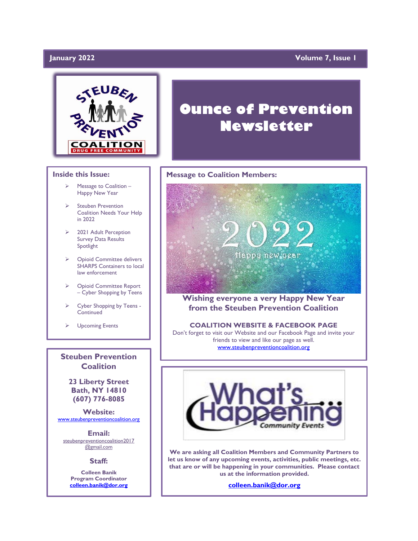### January 2022

### **Volume 7, Issue 1**



#### **Inside this Issue:**

- ➢ Message to Coalition Happy New Year
- ➢ Steuben Prevention Coalition Needs Your Help in 2022
- ➢ 2021 Adult Perception Survey Data Results Spotlight
- ➢ Opioid Committee delivers SHARPS Containers to local law enforcement
- ➢ Opioid Committee Report – Cyber Shopping by Teens
- ➢ Cyber Shopping by Teens **Continued**
- ➢ Upcoming Events

**Steuben Prevention Coalition**

**23 Liberty Street Bath, NY 14810 (607) 776-8085**

**Website:**  [www.steubenpreventioncoalition.org](http://www.steubenpreventioncoalition.org/)

**Email:**  steubenpreventioncoalition2017 @gmail.com

**Staff:**

**Colleen Banik Program Coordinator [colleen.banik@dor.org](mailto:colleen.banik@dor.org)**

# **Ounce of Prevention Newsletter**

### **Message to Coalition Members:**



**Wishing everyone a very Happy New Year from the Steuben Prevention Coalition**

#### **COALITION WEBSITE & FACEBOOK PAGE**

Don't forget to visit our Website and our Facebook Page and invite your friends to view and like our page as well. [www.steubenpreventioncoalition.org](http://www.steubenpreventioncoalition.org/)



**We are asking all Coalition Members and Community Partners to let us know of any upcoming events, activities, public meetings, etc. that are or will be happening in your communities. Please contact us at the information provided.**

**[colleen.banik@dor.org](mailto:colleen.banik@dor.org)**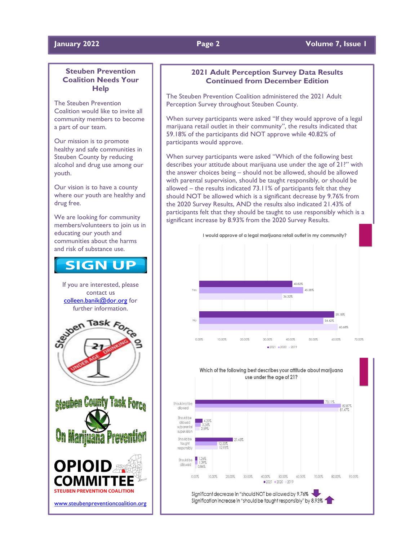#### **January 2022 Page 2 Volume 7, Issue 1**

### **Steuben Prevention Coalition Needs Your Help**

The Steuben Prevention Coalition would like to invite all community members to become a part of our team.

Our mission is to promote healthy and safe communities in Steuben County by reducing alcohol and drug use among our youth.

Our vision is to have a county where our youth are healthy and drug free.

We are looking for community members/volunteers to join us in educating our youth and communities about the harms and risk of substance use.

## **SIGN UP**

If you are interested, please contact us [colleen.banik@dor.org](mailto:colleen.banik@dor.org) for further information.



[www.steubenpreventioncoalition.org](http://www.steubenpreventioncoalition.org/)

**STEUBEN PREVENTION COALITION** 

### **2021 Adult Perception Survey Data Results Continued from December Edition**

The Steuben Prevention Coalition administered the 2021 Adult Perception Survey throughout Steuben County.

When survey participants were asked "If they would approve of a legal marijuana retail outlet in their community", the results indicated that 59.18% of the participants did NOT approve while 40.82% of participants would approve.

When survey participants were asked "Which of the following best describes your attitude about marijuana use under the age of 21?" with the answer choices being – should not be allowed, should be allowed with parental supervision, should be taught responsibly, or should be allowed – the results indicated 73.11% of participants felt that they should NOT be allowed which is a significant decrease by 9.76% from the 2020 Survey Results, AND the results also indicated 21.43% of participants felt that they should be taught to use responsibly which is a significant increase by 8.93% from the 2020 Survey Results.



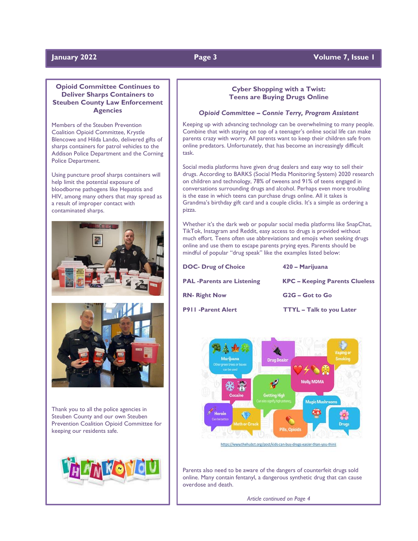### **January 2022 Page 3 Volume 7, Issue 1**

#### **Opioid Committee Continues to Deliver Sharps Containers to Steuben County Law Enforcement Agencies**

Members of the Steuben Prevention Coalition Opioid Committee, Krystle Blencowe and Hilda Lando, delivered gifts of sharps containers for patrol vehicles to the Addison Police Department and the Corning Police Department.

Using puncture proof sharps containers will help limit the potential exposure of bloodborne pathogens like Hepatitis and HIV, among many others that may spread as a result of improper contact with contaminated sharps.



Thank you to all the police agencies in Steuben County and our own Steuben Prevention Coalition Opioid Committee for keeping our residents safe.



#### **Cyber Shopping with a Twist: Teens are Buying Drugs Online**

#### *Opioid Committee – Connie Terry, Program Assistant*

Keeping up with advancing technology can be overwhelming to many people. Combine that with staying on top of a teenager's online social life can make parents crazy with worry. All parents want to keep their children safe from online predators. Unfortunately, that has become an increasingly difficult task.

Social media platforms have given drug dealers and easy way to sell their drugs. According to BARKS (Social Media Monitoring System) 2020 research on children and technology, 78% of tweens and 91% of teens engaged in conversations surrounding drugs and alcohol. Perhaps even more troubling is the ease in which teens can purchase drugs online. All it takes is Grandma's birthday gift card and a couple clicks. It's a simple as ordering a pizza.

Whether it's the dark web or popular social media platforms like SnapChat, TikTok, Instagram and Reddit, easy access to drugs is provided without much effort. Teens often use abbreviations and emojis when seeking drugs online and use them to escape parents prying eyes. Parents should be mindful of popular "drug speak" like the examples listed below:

| <b>DOC- Drug of Choice</b>       | 420 - Marijuana                       |
|----------------------------------|---------------------------------------|
| <b>PAL-Parents are Listening</b> | <b>KPC – Keeping Parents Clueless</b> |
| <b>RN- Right Now</b>             | G <sub>2G</sub> – Got to Go           |
| <b>P911 -Parent Alert</b>        | <b>TTYL - Talk to you Later</b>       |



https://www.thehubct.org/post/kids-can-buy-drugs-easier-than-you-think

Parents also need to be aware of the dangers of counterfeit drugs sold online. Many contain fentanyl, a dangerous synthetic drug that can cause overdose and death.

*Article continued on Page 4*